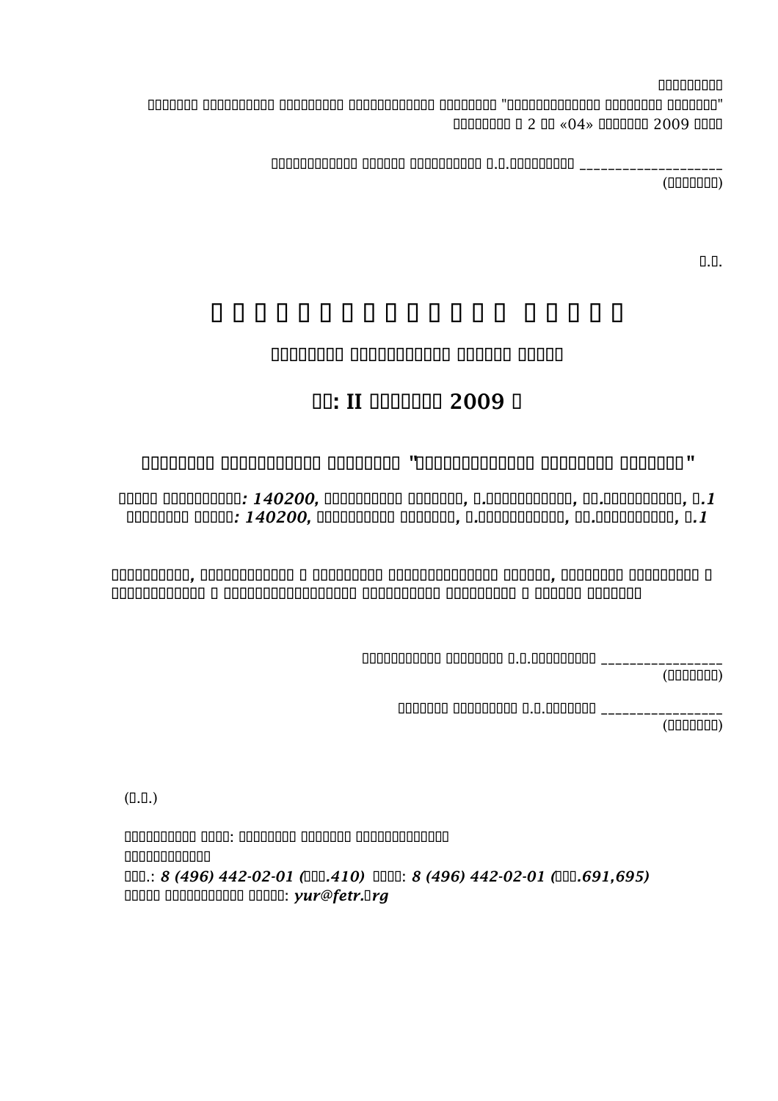

..

**: II 2009** 

*, ,* 







(..)

 $\sim$  :

.: *8 (496) 442-02-01 (.410)* : *8 (496) 442-02-01 (.691,695)* : *yur@fetr.rg*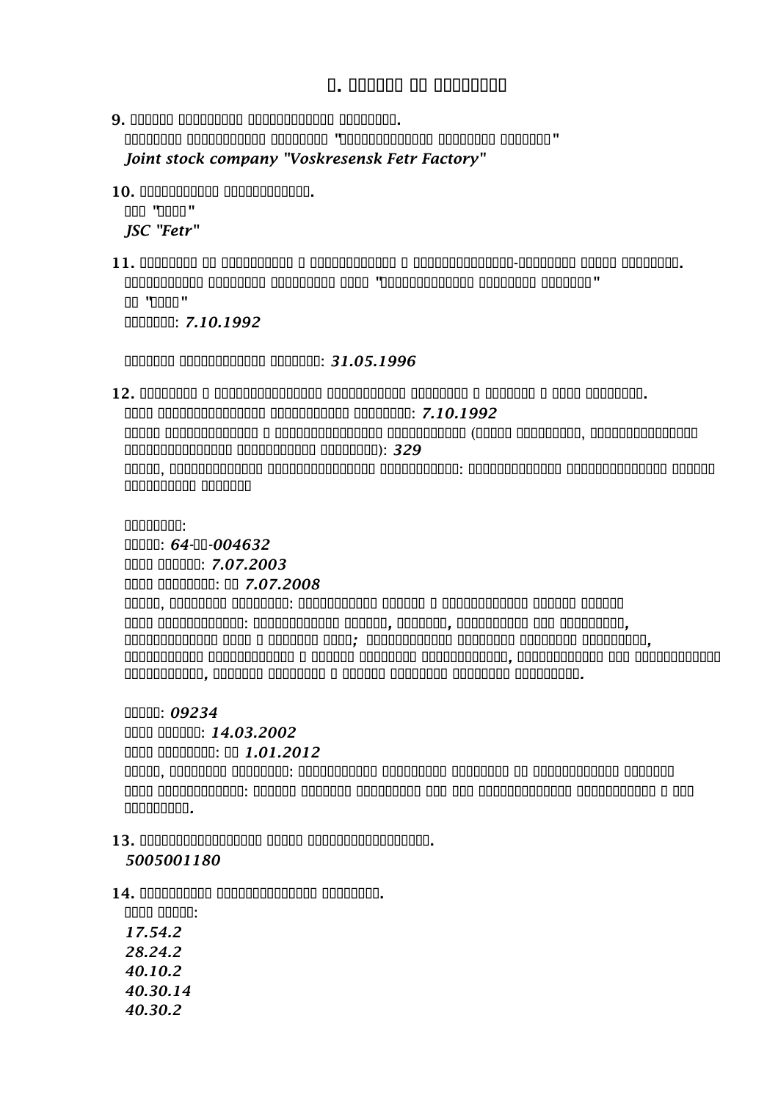**9. . . . . . . . . . . . . . . . . . . . . . . . . . . . . . . .**

*Joint stock company "Voskresensk Fetr Factory"* 

 *<sup>1</sup>*  $\blacksquare$  *<sup>1</sup>*  $\blacksquare$  *<sup>1</sup>* 

**10. .** 

 *""*

*JSC "Fetr"*

**11. - .** 

 *" " ""*

: *7.10.1992*

#### : *31.05.1996*

**12.**  $\blacksquare$ 

: *7.10.1992*

 ( , ): *329*

, : 

**.** 

: : *64--004632* : *7.07.2003*

 :  *7.07.2008* , :  : *, , , , , , , , , , , , , , , , , ; ,* 

 *, , .* : *09234*

 : *14.03.2002* :  *1.01.2012* , :   $\mathcal{L}^{\mathcal{L}}(\mathcal{L}^{\mathcal{L}})$  is the set of  $\mathcal{L}^{\mathcal{L}}(\mathcal{L}^{\mathcal{L}})$  in the set of  $\mathcal{L}^{\mathcal{L}}(\mathcal{L}^{\mathcal{L}})$ *.*

**13. 13. 13. 13. 13. 13. 13. 13. 14. 15. 15. 15. 15. 15. 15. 15. 15. 15. 15. 15. 15. 15. 15. 15. 15. 15. 15. 15. 15. 15. 15. 15. 15. 15. 15. 15. 15.**

*5005001180*

:

#### **14. .**

*17.54.2 28.24.2 40.10.2 40.30.14 40.30.2*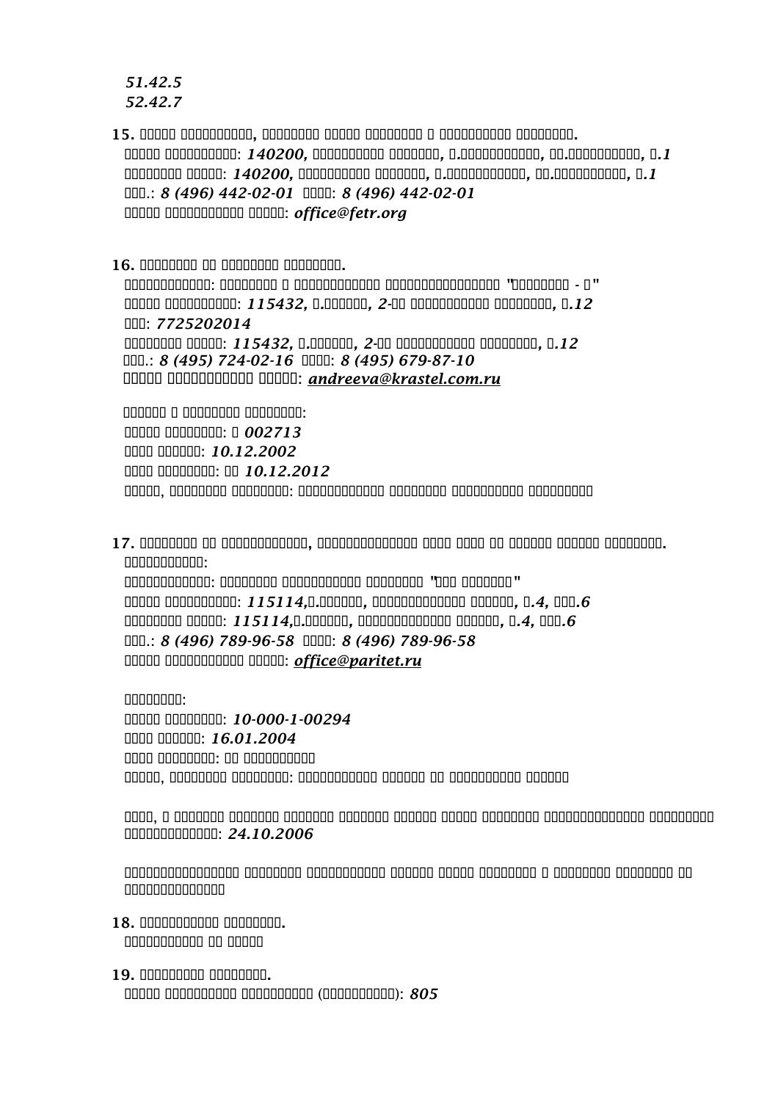#### *51.42.5 52.42.7*

| 15. |                                |                                |                |                         |
|-----|--------------------------------|--------------------------------|----------------|-------------------------|
|     | : 140200,                      | $\cdot$ $\cdot$                | $\mathbf{r}$ . | $\cdot$ $\cdot$ $\cdot$ |
|     | : 140200,                      | $\cdot$ $\cdot$                | $\mathbf{r}$ . | . .1                    |
|     | $\therefore$ 8 (496) 442-02-01 | $\therefore$ 8 (496) 442-02-01 |                |                         |
|     |                                | $:$ office@fetr.org            |                |                         |

**16. .**  :  *" - "* : *115432, ., 2- , .12*  : *7725202014* : *115432, ., 2- , .12*  .: *8 (495) 724-02-16* : *8 (495) 679-87-10* : *andreeva@krastel.com.ru*







: *24.10.2006*

,  $\qquad \qquad \vdots$ 

**18. .** 

**19. .** 

(): *805*

,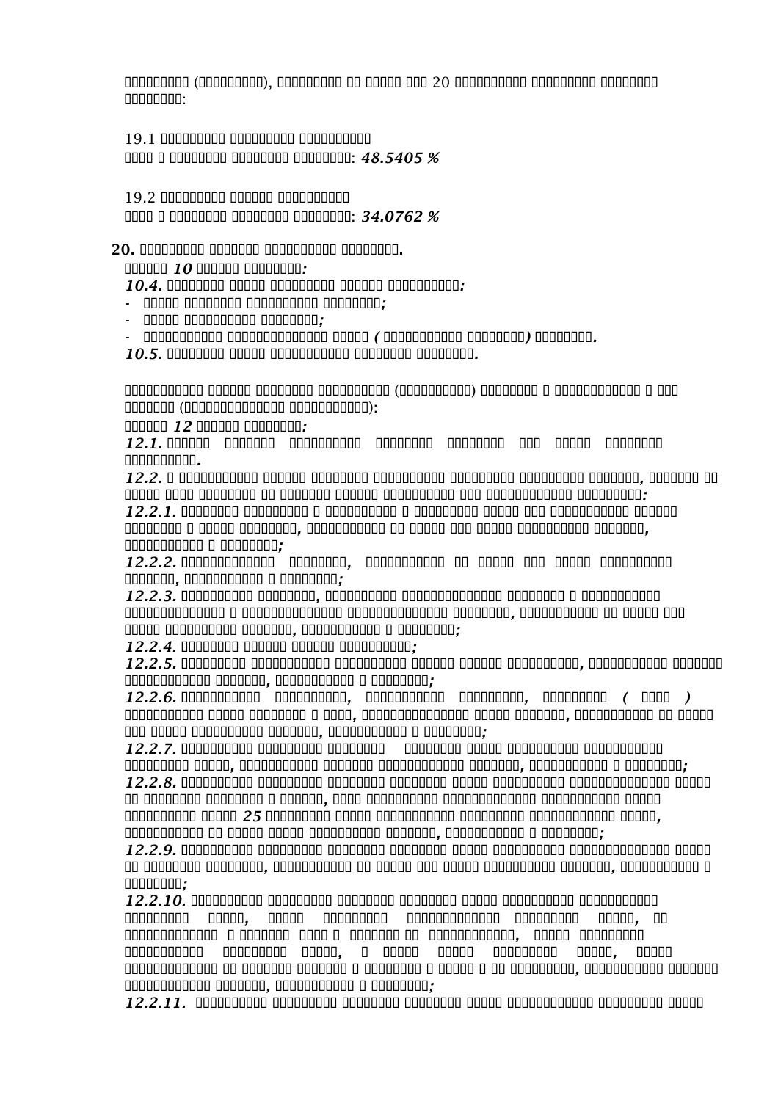| t,                            | ),<br>$\overline{(\ }$                | 20                                                                        |                                                                  |               |
|-------------------------------|---------------------------------------|---------------------------------------------------------------------------|------------------------------------------------------------------|---------------|
| $19.1\,$                      |                                       | : $48.5405%$                                                              |                                                                  |               |
| 19.2                          |                                       | : 34.0762 $%$                                                             |                                                                  |               |
| 20.<br>10<br>10.4.<br>10.5.   | $\tilde{\phantom{a}}$<br>$\cdot$      | ٠<br>$\tilde{\phantom{a}}$<br>$\cdot$<br>(                                | $\mathcal{L}$                                                    |               |
| $\left($<br>12<br>12.1.       | $\ddot{\phantom{a}}$                  | $\overline{(}$<br>$\mathcal{C}^{\prime}$<br>):                            |                                                                  |               |
| 12.2.<br>12.2.1.              | ,                                     |                                                                           | $\frac{1}{2}$<br>$\pmb{\jmath}$                                  |               |
| 12.2.2.<br>12.2.3.            | $\dot{,}$<br>$\pmb{J}$                | ,<br>$\pmb{J}$                                                            |                                                                  |               |
| 12.2.4.<br>12.2.5.<br>12.2.6. | ,<br>$\pmb{J}$                        | $\boldsymbol{\cdot}$<br>$\rlap{.}^{\bullet}$<br>$\mathbf{r}$<br>$\pmb{J}$ | $\pmb{\cdot}$<br>$\overline{\mathcal{L}}$<br>$\pmb{\mathcal{I}}$ | $\mathcal{L}$ |
| 12.2.7.<br>12.2.8.            | $\pmb{\jmath}$<br>$\pmb{\mathcal{I}}$ | $\pmb{\jmath}$<br>$\frac{1}{2}$                                           | $\pmb{\jmath}$<br>$\pmb{\jmath}$                                 | $\pmb{J}$     |
| 12.2.9.                       | ,<br>${\bf 25}$                       | $\pmb{\jmath}$                                                            | $\rlap{.}^{\bullet}$                                             | $\pmb{J}$     |
| 12.2.10.                      | $\pmb{\jmath}$<br>$\pmb{\cdot}$       |                                                                           | $\pmb{J}$<br>$\pmb{\mathcal{I}}$                                 |               |

 *, ,* 

 *,* 

# *, ;*

*12.2.11.*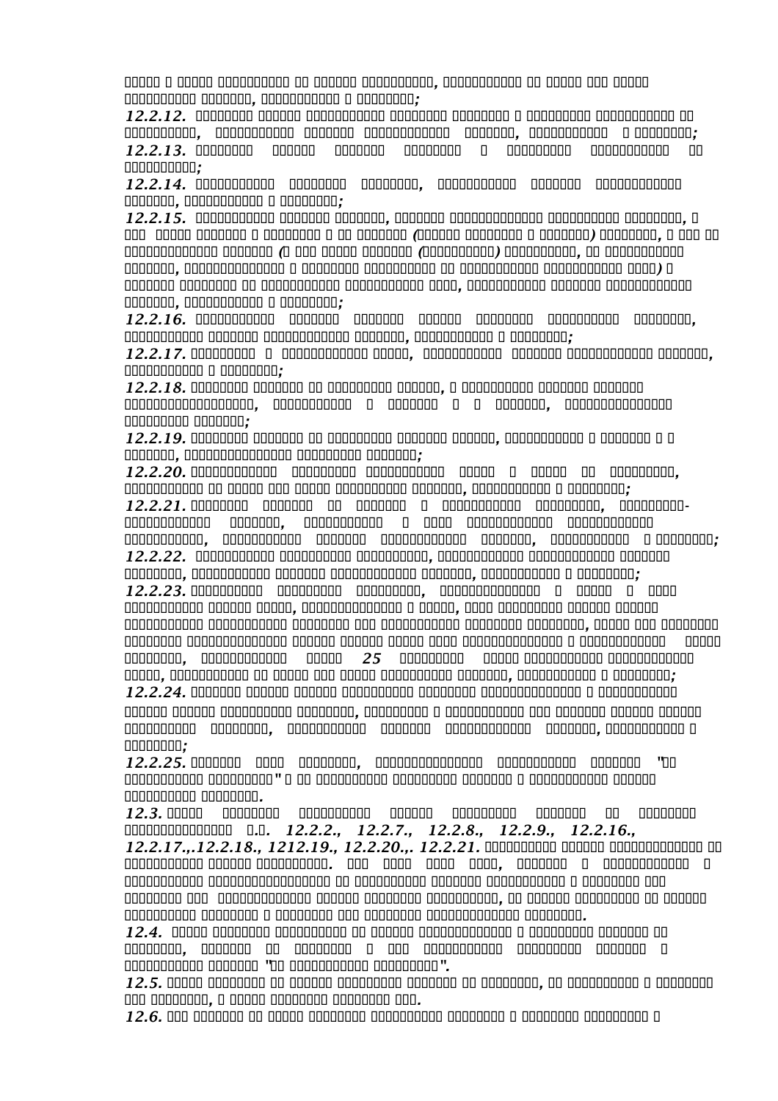| ,                                                 |                                                                       | $\rlap{.}^{\bullet}$ |                                   |                     |              |                    |
|---------------------------------------------------|-----------------------------------------------------------------------|----------------------|-----------------------------------|---------------------|--------------|--------------------|
| 12.2.12.                                          |                                                                       |                      |                                   |                     |              |                    |
| $\pmb{\jmath}$<br>12.2.13.                        |                                                                       |                      |                                   | $\pmb{\jmath}$      |              | ;                  |
| 12.2.14.                                          |                                                                       | $\pmb{J}$            |                                   |                     |              |                    |
| 12.2.15                                           | $\frac{1}{2}$                                                         | $\pmb{J}$            |                                   |                     |              | ,                  |
|                                                   | $\epsilon$                                                            | (<br>(               |                                   | $\lambda$           | $\pmb{J}$    |                    |
| $\pmb{J}$                                         |                                                                       |                      | ,                                 |                     |              | $\lambda$          |
| 12.2.16                                           | $\cdot$                                                               |                      |                                   |                     |              | $\pmb{\jmath}$     |
| 12.2.17.                                          |                                                                       | $\pmb{J}$            |                                   |                     | ,            |                    |
| 12.2.18.                                          |                                                                       |                      | ,                                 |                     |              |                    |
| 12.2.19.                                          |                                                                       |                      |                                   | ,<br>$\pmb{\jmath}$ |              |                    |
| $12.2.\overline{20}.$                             |                                                                       | $\frac{1}{2}$        |                                   |                     |              | ,                  |
| 12.2.21.                                          |                                                                       |                      | ,                                 |                     | $\cdot$<br>, |                    |
| 12.2.22.                                          |                                                                       |                      |                                   | ,                   |              |                    |
| 12.2.23.                                          |                                                                       |                      | $\pmb{\mathfrak{z}}$<br>$\pmb{J}$ |                     | ;            |                    |
|                                                   | $\pmb{J}$                                                             |                      | ,                                 |                     | $\pmb{y}$    |                    |
| $\pmb{\jmath}$                                    |                                                                       | 25                   |                                   |                     |              |                    |
| 12.2.24.                                          |                                                                       |                      |                                   |                     |              |                    |
|                                                   | $\pmb{\jmath}$                                                        | $\pmb{\jmath}$       |                                   |                     | $\pmb{J}$    |                    |
| 12.2.25.                                          | $\mathbf{u}$                                                          | $\pmb{y}$            |                                   |                     |              | $\pmb{\mathsf{H}}$ |
| 12.3.                                             |                                                                       |                      |                                   |                     |              |                    |
| 12.2.17.,.12.2.18., 1212.19., 12.2.20.,. 12.2.21. | 12.2.2., 12.2.7., 12.2.8., 12.2.9., 12.2.16.,<br>$\ddot{\phantom{0}}$ |                      |                                   |                     |              |                    |
|                                                   |                                                                       |                      |                                   | $\pmb{\jmath}$      |              |                    |
| 12.4.                                             |                                                                       |                      |                                   | $\pmb{J}$           |              |                    |
| $\pmb{\jmath}$                                    | $\mathbf{u}$                                                          |                      | $\mathbf{u}$                      |                     |              |                    |
| 12.5.                                             |                                                                       |                      |                                   | $\pmb{\mathcal{I}}$ |              |                    |
| $\pmb{J}$<br>12.6.                                |                                                                       |                      |                                   |                     |              |                    |

 *<i>,*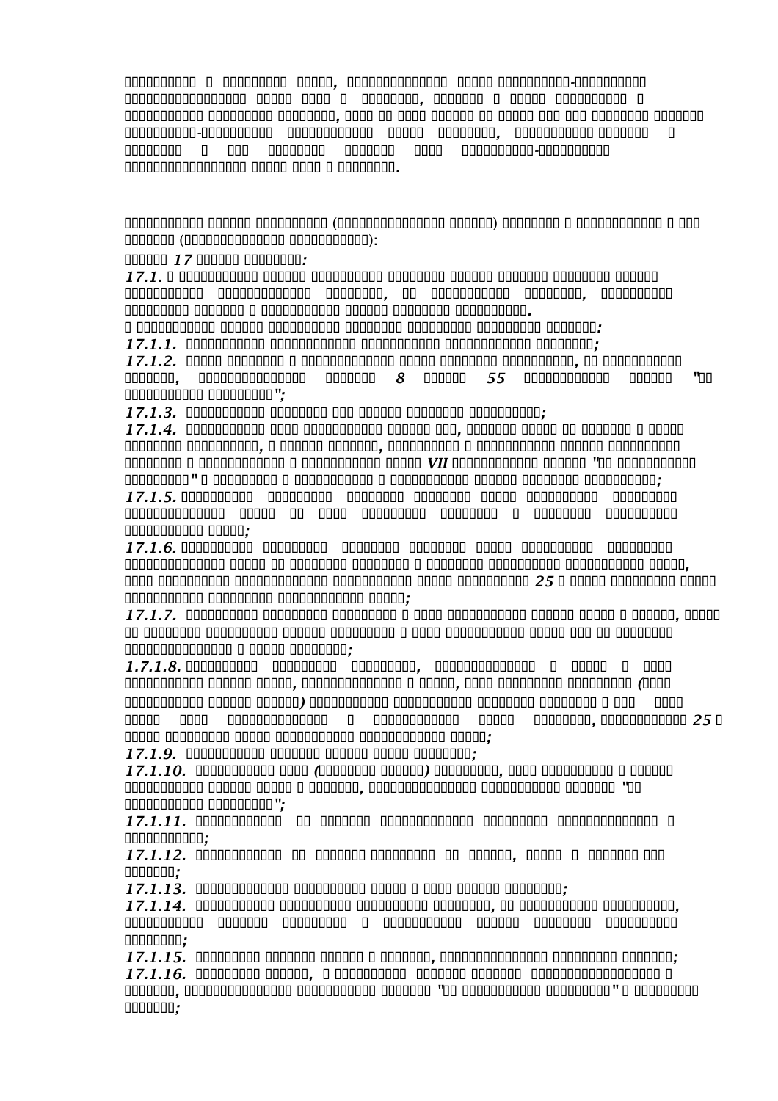| $\overline{(\ }$     | $\overline{\phantom{a}}$ | ):                         | $\mathcal{E}$  |                |                    |                      |
|----------------------|--------------------------|----------------------------|----------------|----------------|--------------------|----------------------|
| $17\,$<br>17.1.      | $\tilde{\cdot}$          | $\pmb{\jmath}$             |                | $\pmb{\jmath}$ |                    |                      |
|                      |                          |                            |                |                |                    |                      |
| 17.1.1.<br>17.1.2.   |                          |                            |                | $\dot{,}$      |                    |                      |
| $\pmb{\cdot}$        |                          | $\pmb{8}$                  | 55             | ,              |                    | $\pmb{\mathsf{u}}$   |
|                      | $\frac{n_s}{f}$          |                            |                |                |                    |                      |
| 17.1.3.<br>17.1.4.   |                          |                            | $\pmb{\jmath}$ | $\cdot$        |                    |                      |
|                      | $\pmb{\jmath}$           | $\pmb{\mathcal{I}}$        |                |                |                    |                      |
| $\pmb{\mathsf{H}}$   |                          | VII                        |                | $\mathbf{u}$   | $\cdot$            |                      |
| 17.1.5.              |                          |                            |                |                |                    |                      |
|                      |                          |                            |                |                |                    |                      |
| 17.1.6.              | $\boldsymbol{\cdot}$     |                            |                |                |                    |                      |
|                      |                          |                            |                |                |                    | $\pmb{\jmath}$       |
|                      |                          | $\cdot$                    |                | 25             |                    |                      |
| 17.1.7.              |                          |                            |                |                |                    | $\pmb{\jmath}$       |
|                      |                          |                            |                |                |                    |                      |
| 1.7.1.8.             | $\rlap{.}^{\bullet}$     | $\pmb{\jmath}$             |                |                |                    |                      |
|                      | $\pmb{J}$                |                            | ,              |                |                    |                      |
|                      | $\lambda$                |                            |                |                |                    | $25\,$               |
|                      |                          |                            | ,              | $\pmb{\cdot}$  |                    |                      |
| 17.1.9.              |                          |                            | $\cdot$        |                |                    |                      |
| 17.1.10.             | $\overline{ }$           | $\mathcal{L}$<br>$\pmb{J}$ | $\pmb{\jmath}$ |                | $\pmb{\mathsf{u}}$ |                      |
|                      | ",                       |                            |                |                |                    |                      |
| 17.1.11.             |                          |                            |                |                |                    |                      |
| ;<br>17.1.12.        |                          |                            | $\pmb{\jmath}$ |                |                    |                      |
| $\ddot{\phantom{0}}$ |                          |                            |                |                |                    |                      |
| 17.1.13.<br>17.1.14. |                          |                            | $\pmb{\jmath}$ | $\cdot$        |                    | $\pmb{J}$            |
|                      |                          |                            |                |                |                    |                      |
| ;<br>17.1.15.        |                          |                            |                |                |                    | $\rlap{.}^{\bullet}$ |
| 17.1.16.             | $\pmb{J}$                | $\pmb{J}$                  |                |                |                    |                      |
| $\pmb{J}$            |                          | $\pmb{\mathsf{H}}$         |                |                | $\pmb{\mathsf{H}}$ |                      |

 *, - ,* 

 $\mathcal{L} = \{ \mathcal{L} \mid \mathcal{L} \in \mathcal{L} \}$  , where  $\mathcal{L} = \{ \mathcal{L} \mid \mathcal{L} \in \mathcal{L} \}$  , where  $\mathcal{L} = \{ \mathcal{L} \mid \mathcal{L} \in \mathcal{L} \}$ 

 *.* 

 *, - ,* 

*;*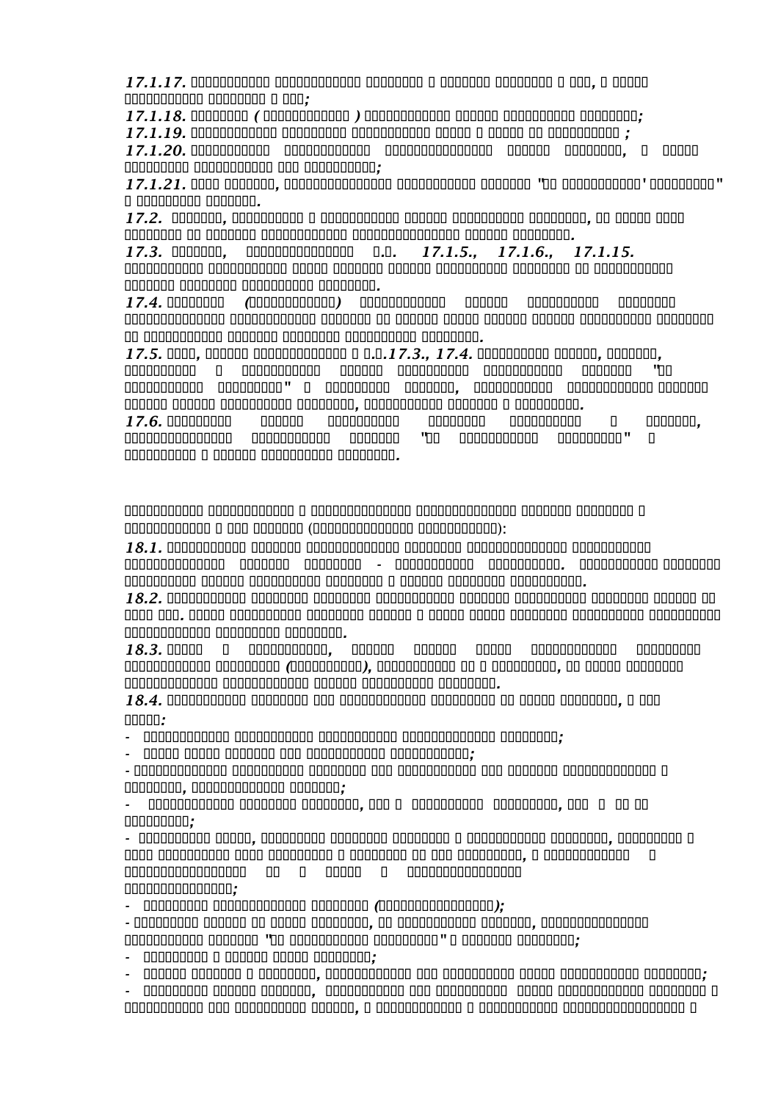| 17.1.17.                          | $\pmb{\mathcal{I}}$                                                                             |
|-----------------------------------|-------------------------------------------------------------------------------------------------|
| 17.1.18.<br>17.1.19.<br>17.1.20.  | $\mathcal{I}$<br>$\overline{(\ }$<br>$\mathcal{L}$<br>;<br>$\rlap{.}^{\circ}$<br>$\pmb{\jmath}$ |
| 17.1.21.                          | $\boldsymbol{\cdot}$<br>$\mathbf{u}$<br>Ţ<br>$\pmb{\mathsf{u}}$<br>$\pmb{\jmath}$               |
| 17.2.                             | $\blacksquare$<br>$\pmb{\cdot}$<br>$\pmb{J}$                                                    |
| 17.3.                             | 17.1.5., 17.1.6., 17.1.15.<br>$\ddot{\phantom{a}}$<br>$\pmb{\cdot}$                             |
| 17.4.                             | $\lambda$<br>$\epsilon$                                                                         |
| 17.5.<br>$\overline{\phantom{a}}$ | .17.3.,17.4.<br>$\frac{7}{11}$<br>$\pmb{\jmath}$<br>$\pmb{\mathrm{u}}$<br>$\pmb{J}$             |
| 17.6.                             | $\pmb{J}$<br>$\blacksquare$<br>$\pmb{\cdot}$<br>$\mathbf{u}$<br>$\mathbf{u}$                    |
|                                   |                                                                                                 |
| 18.1.                             | ):<br>(<br>$\overline{a}$<br>$\blacksquare$                                                     |
| 18.2.<br>$\blacksquare$           |                                                                                                 |
| 18.3.                             | $\pmb{\cdot}$<br>$\mathcal{L}$ and $\mathcal{L}$<br>),<br>,                                     |
| 18.4.                             | ,                                                                                               |
|                                   | ;<br>;                                                                                          |
| ,<br>;                            | $\cdot$<br>$\pmb{\jmath}$<br>,<br>$\pmb{\jmath}$<br>,                                           |
|                                   | ,<br>);                                                                                         |
|                                   | ,<br>$\mathbf{u}$<br>$\mathbf{u}$<br>;                                                          |
|                                   | ,<br>$\pmb{J}$                                                                                  |
|                                   |                                                                                                 |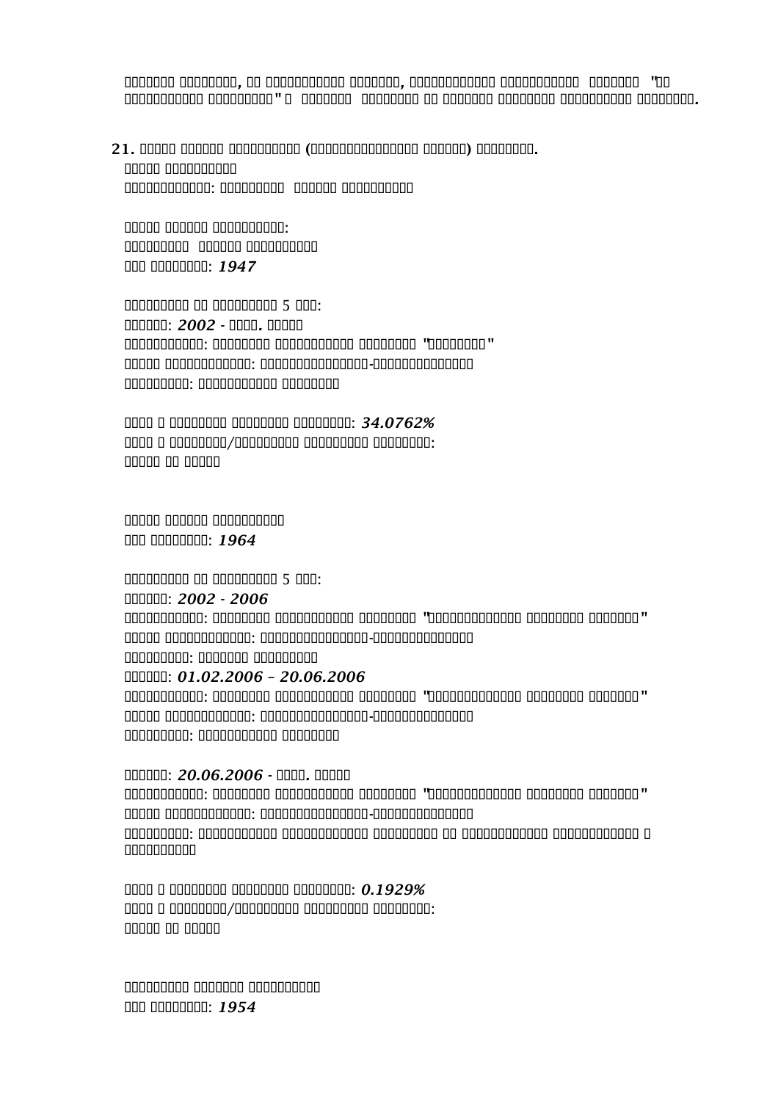$\mathbf{r}$  , and  $\mathbf{r}$  , and  $\mathbf{r}$  , and  $\mathbf{r}$  , and  $\mathbf{r}$  , and  $\mathbf{r}$  , and  $\mathbf{r}$ **21.** ( ) .

, до 1912 година, до 1912 година, до 1912 година, до 1912 година, до 1912 година, до 1912 година, до 1912 година<br>В 1912 година, до 1912 година, до 1912 година, до 1912 година, до 1912 година, до 1912 година, до 1912 годин

:  **Section 200** : *1947*

 $5 \t3$ : *2002 - .*  :  *""* : *-* : 

> : *34.0762%*  $/$  :

#### : *1964*

 $5$  : : *2002 - 2006*

:  *" "* : *-* : 

# : *01.02.2006 – 20.06.2006*

:  *" "* : *-*  : 

### : *20.06.2006 - .*

:  *" "* : *-*   $\mathcal{L}^{\mathcal{L}}(\mathcal{L}^{\mathcal{L}})$  .  $\mathcal{L}^{\mathcal{L}}(\mathcal{L}^{\mathcal{L}})$  ,  $\mathcal{L}^{\mathcal{L}}(\mathcal{L}^{\mathcal{L}})$  ,  $\mathcal{L}^{\mathcal{L}}(\mathcal{L}^{\mathcal{L}})$  ,  $\mathcal{L}^{\mathcal{L}}(\mathcal{L}^{\mathcal{L}})$  ,  $\mathcal{L}^{\mathcal{L}}(\mathcal{L}^{\mathcal{L}})$  ,  $\mathcal{L}^{\mathcal{L}}(\mathcal{L}^{\mathcal{L}})$ 

#### : *0.1929%*

 $/$  :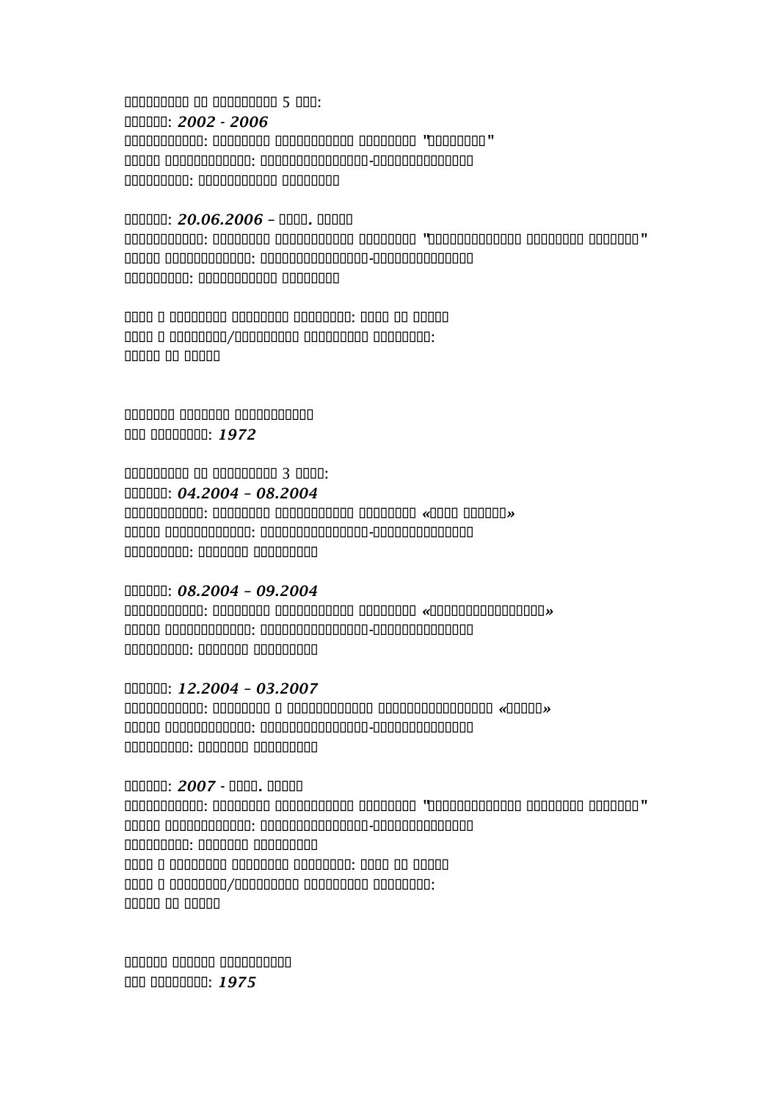5 : : *2002 - 2006*

:  *""* : *-*  : 

#### : *20.06.2006 – .*

 $\mathbf{r} = \mathbf{r} \cdot \mathbf{r}$  ,  $\mathbf{r} = \mathbf{r} \cdot \mathbf{r}$  ,  $\mathbf{r} = \mathbf{r} \cdot \mathbf{r}$  ,  $\mathbf{r} = \mathbf{r} \cdot \mathbf{r}$  ,  $\mathbf{r} = \mathbf{r} \cdot \mathbf{r}$  : *-*  : 

 :   $/$  :

#### : *1972*

 3 : : *04.2004 – 08.2004* :  *« »*

 : *-* : 

## : *08.2004 – 09.2004*

:  *«»* : *-* : 

#### : *12.2004 – 03.2007*

:  *«»* : *-* : 

#### : *2007 - .*

:  *" "* : *-* :  : 

 $/$  :

: *1975*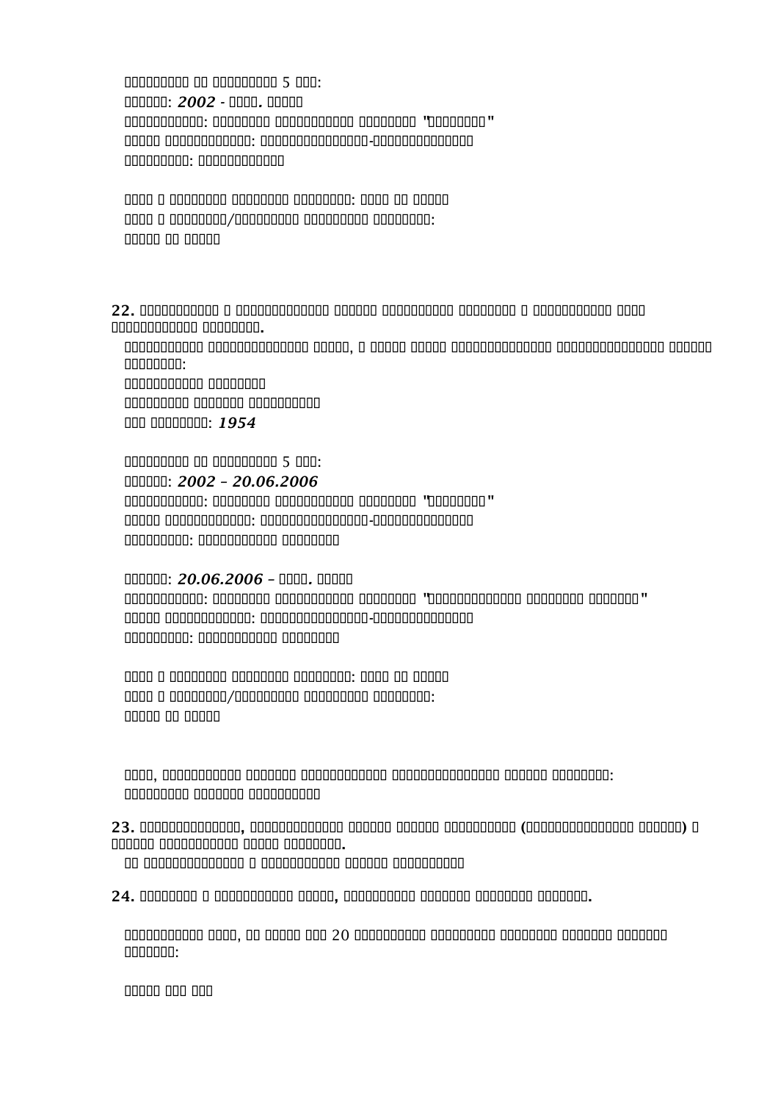5 : : *2002 - .*  :  *""* : *-* : :   $/$  :

**22.** 

: 10 minutes

 **.**   $,$ :

: *1954*

 $5 \quad$  : : *2002 – 20.06.2006* :  *""*

 : *-* : 

: *20.06.2006 – .*  :  *" "* : *-*  : 

 :   $/$  :

, the contract of the contract of  $\mathcal{L}$  , the contract of the contract of  $\mathcal{L}$ 

**23. , ( ) .** 

**24. , .**  ,  $20$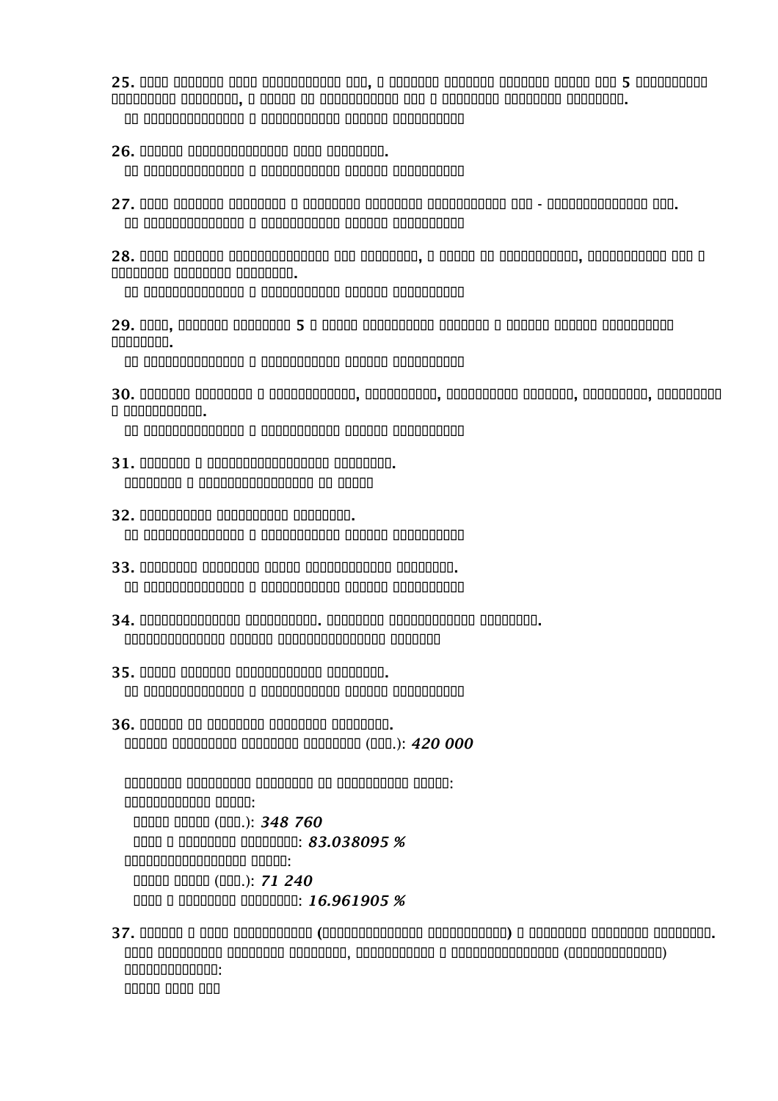**25. , 5 , . 26. 12. 12. 12. 12. 12. 12. 12. 12. 12. 12. 12. 12. 12. 12. 12. 12. 12. 12. 12. 12. 12. 12. 12. 12. 12. 12. 12. 12. 12. 12. 12. 27. - . 28. , , 1999 1999 1999 1999 1999 29. , 5 . 30. , , , , 12. 12. 12. 12. 31. . 32. 33. . 34. . . 35. . 36. .**  (.): *420 000* **Service Service Service Service Service Service**  : (.): *348 760* : *83.038095 %*

 : (.): *71 240* : *16.961905 %*

**37.** ( ) , the contract of  $($ :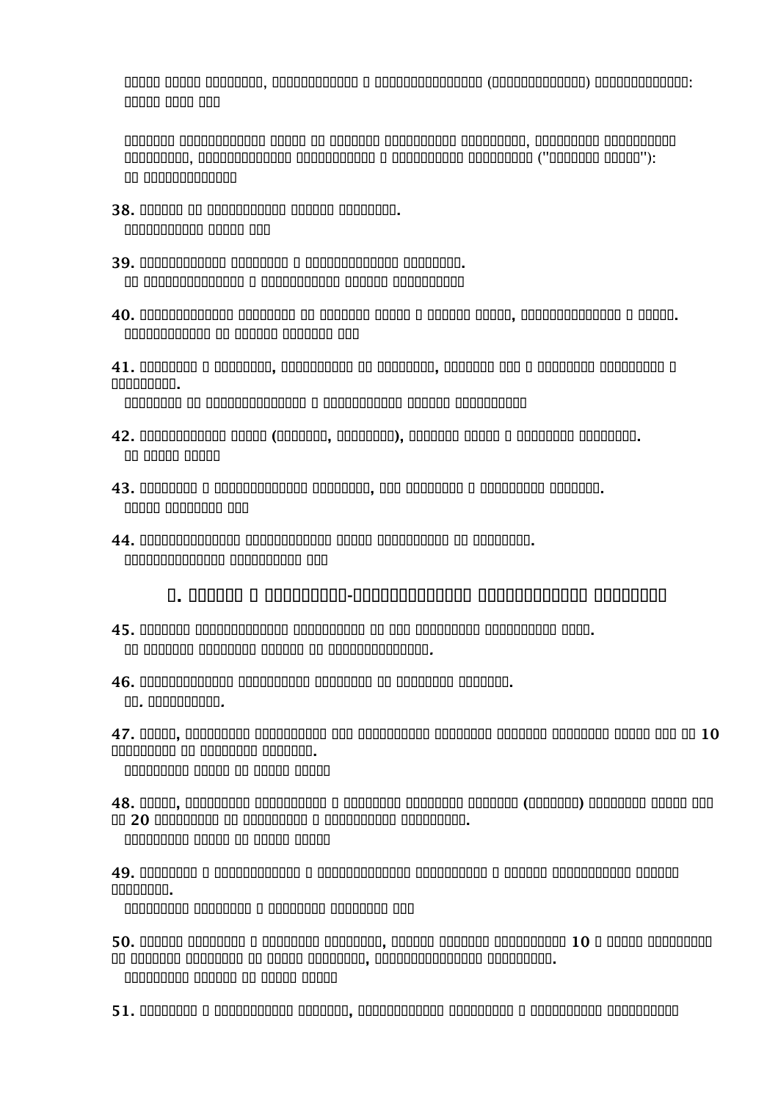$\overline{(\ }$  $\big)$  $\frac{1}{2}$ 

 $10$ 

,  $\mathcal{C}$ ":  $\overline{\phantom{a}}$ 38.

 $\bar{\textbf{z}}$ 

 $\overline{\phantom{a}}$ 

39. 40.  $\overline{\phantom{a}}$ 41.

 $\overline{\phantom{a}}$ ż  $\overline{\mathbf{C}}$ 42.  $),$  $\overline{\phantom{a}}$ ä, 43.  $\cdot$ 

44. í,  $\overline{a}$  $\blacksquare$ 

45. 46.  $\cdot$ 

47.  $\overline{\phantom{a}}$ 

 $\begin{array}{c} 48. \\ 20 \end{array}$  $\overline{(\ }$  $\overline{\phantom{a}}$  $\cdot$  $\ddot{\phantom{a}}$ 49.

× 50.  $10$  $\bar{J}$ l,  $\overline{\phantom{a}}$ 

 $\overline{\phantom{a}}$ 

 $51.$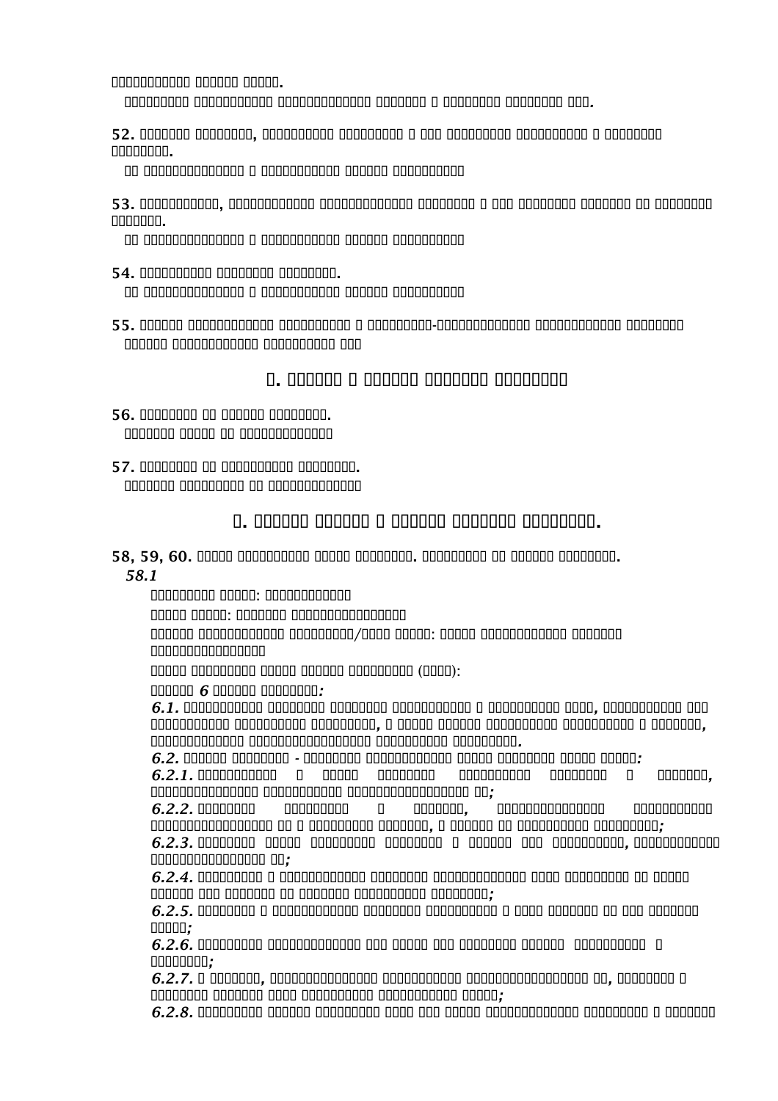52.  $\overline{\phantom{a}}$ 53. J l,

l,

 $\overline{ }$ 

 $\overline{\phantom{a}}$ 

,

ä,

54. 55.

56.

57.

58, 59, 60. l. 58.1  $\ddot{\phantom{a}}$  $\ddot{\phantom{a}}$  $\overline{1}$  $\cdot$  :

 $\overline{(\ }$  $\cdot$  $\boldsymbol{6}$  $\frac{1}{\epsilon}$  $6.1.$ 

 $6.2.$ <br> $6.2.1.$  $\ddot{\cdot}$  $\frac{1}{2}$  $6.2.2.$  $\ddot{,}$  $6.2.3.$  $\frac{1}{2}$  $6.2.4.$  $\dot{z}$  $6.2.5.$  $\begin{array}{c} \hline , \\ 6.2.6. \end{array}$  $\cdot$ 

 $6.2.7.$  $\overline{ }$  $\frac{1}{2}$  $6.2.8.$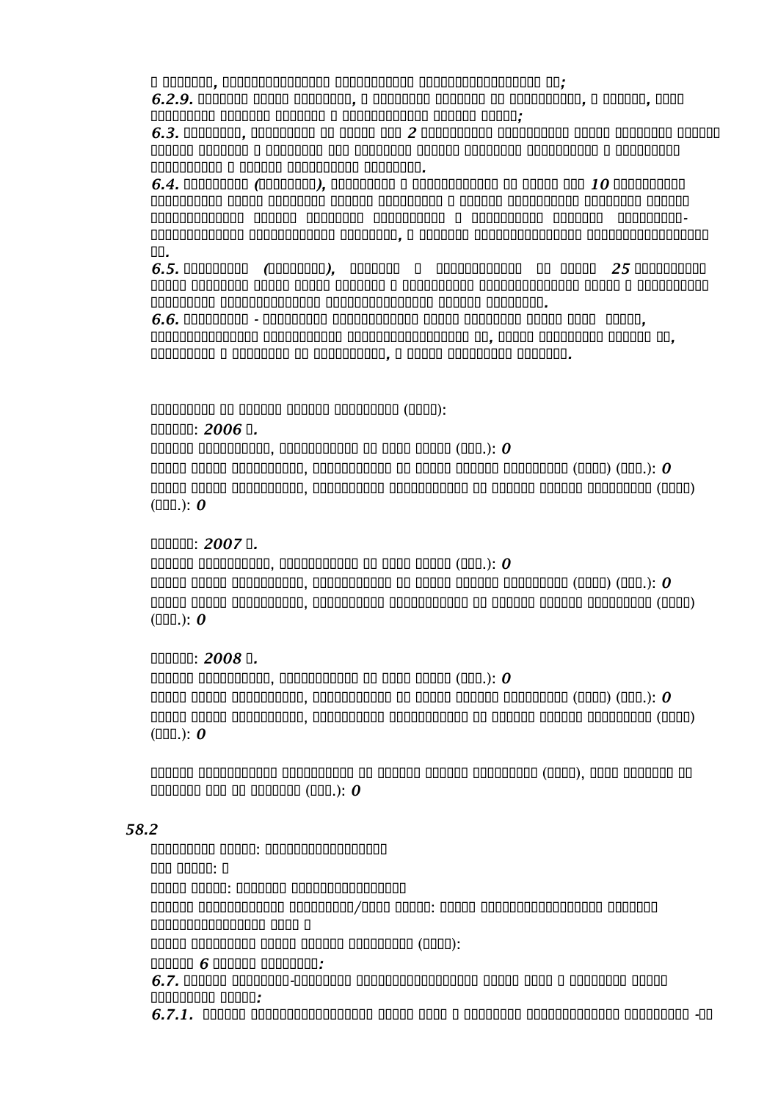| ,<br>6.2.9.                              |                          | $\pmb{\jmath}$ |                                                | $\cdot$<br>$\pmb{J}$<br>$\pmb{\cdot}$ |
|------------------------------------------|--------------------------|----------------|------------------------------------------------|---------------------------------------|
| 6.3.                                     | $\pmb{\mathfrak{z}}$     |                | $\rlap{.}^{\bullet}$<br>$\overline{c}$         |                                       |
| 6.4.                                     | $\overline{\mathcal{L}}$ | $\,$ ,         | $\blacksquare$                                 | 10                                    |
| 6.5.                                     | $\overline{\mathcal{L}}$ | $\,$ ,         | $\pmb{\mathcal{I}}$                            | 25                                    |
| 6.6.                                     |                          |                | $\pmb{\jmath}$<br>$\pmb{\mathfrak{z}}$         | $\pmb{\jmath}$<br>$\pmb{\jmath}$      |
| $: 2006$ .                               | $\pmb{\mathfrak{z}}$     | $\pmb{\cdot}$  | $\overline{(\ }$<br>$\mathbf{).}$<br>$($ .): 0 | $($ $)$ $($ $)$ : 0                   |
| .): $\boldsymbol{0}$<br>$\overline{(\ }$ |                          | $\,$           |                                                | $\overline{(\ }$<br>$\lambda$         |

 $: 2007$  .

 $( )$  .): 0  $\overline{\phantom{a}}$  $( \qquad ) \, (\quad .); \, {\pmb 0} \qquad \qquad ($  $\begin{array}{c} \begin{array}{c} \end{array} \end{array}$  $\, ,$  $($  .): 0

 $: 2008$  .  $($  .): 0  $\overline{\phantom{a}}$  $( ) ) ( ) . ) : {\boldsymbol 0}$   $( )$  $\overline{\phantom{a}}$  $\overline{\phantom{a}}$  $($  .): 0

 $\overline{\phantom{a}}$ 

 $\overline{(\ }$  $),$  $( )$  .): 0 58.2  $\frac{1}{2}$ 

 $\pm$  $\ddot{\phantom{a}}$  $\overline{\mathcal{L}}$  $\sim 10^{-11}$  $($   $)$ :  $\boldsymbol{6}$  $\mathbb{R}^2$  $6.7.$  $\overline{a}$  $\ddot{\cdot}$  $6.7.1.$